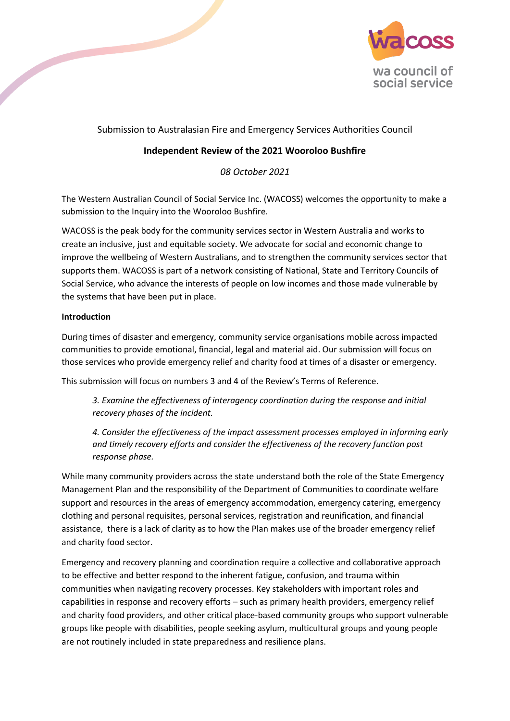

# Submission to Australasian Fire and Emergency Services Authorities Council

# **Independent Review of the 2021 Wooroloo Bushfire**

*08 October 2021*

The Western Australian Council of Social Service Inc. (WACOSS) welcomes the opportunity to make a submission to the Inquiry into the Wooroloo Bushfire.

WACOSS is the peak body for the community services sector in Western Australia and works to create an inclusive, just and equitable society. We advocate for social and economic change to improve the wellbeing of Western Australians, and to strengthen the community services sector that supports them. WACOSS is part of a network consisting of National, State and Territory Councils of Social Service, who advance the interests of people on low incomes and those made vulnerable by the systems that have been put in place.

#### **Introduction**

During times of disaster and emergency, community service organisations mobile across impacted communities to provide emotional, financial, legal and material aid. Our submission will focus on those services who provide emergency relief and charity food at times of a disaster or emergency.

This submission will focus on numbers 3 and 4 of the Review's Terms of Reference.

*3. Examine the effectiveness of interagency coordination during the response and initial recovery phases of the incident.*

*4. Consider the effectiveness of the impact assessment processes employed in informing early and timely recovery efforts and consider the effectiveness of the recovery function post response phase.*

While many community providers across the state understand both the role of the State Emergency Management Plan and the responsibility of the Department of Communities to coordinate welfare support and resources in the areas of emergency accommodation, emergency catering, emergency clothing and personal requisites, personal services, registration and reunification, and financial assistance, there is a lack of clarity as to how the Plan makes use of the broader emergency relief and charity food sector.

Emergency and recovery planning and coordination require a collective and collaborative approach to be effective and better respond to the inherent fatigue, confusion, and trauma within communities when navigating recovery processes. Key stakeholders with important roles and capabilities in response and recovery efforts – such as primary health providers, emergency relief and charity food providers, and other critical place-based community groups who support vulnerable groups like people with disabilities, people seeking asylum, multicultural groups and young people are not routinely included in state preparedness and resilience plans.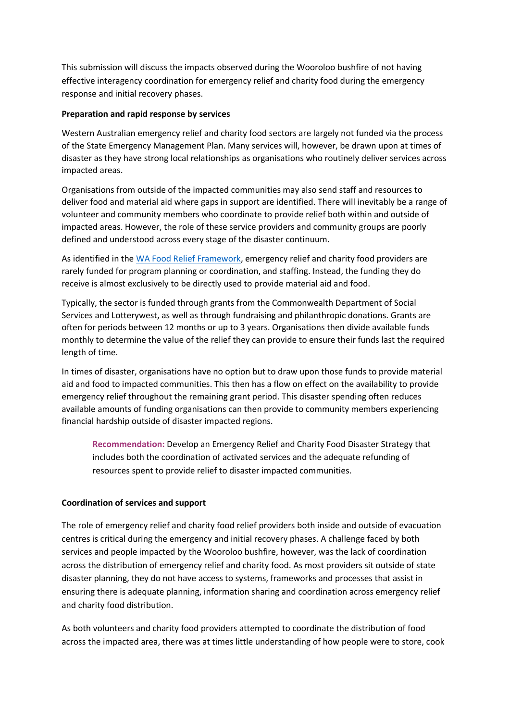This submission will discuss the impacts observed during the Wooroloo bushfire of not having effective interagency coordination for emergency relief and charity food during the emergency response and initial recovery phases.

#### **Preparation and rapid response by services**

Western Australian emergency relief and charity food sectors are largely not funded via the process of the State Emergency Management Plan. Many services will, however, be drawn upon at times of disaster as they have strong local relationships as organisations who routinely deliver services across impacted areas.

Organisations from outside of the impacted communities may also send staff and resources to deliver food and material aid where gaps in support are identified. There will inevitably be a range of volunteer and community members who coordinate to provide relief both within and outside of impacted areas. However, the role of these service providers and community groups are poorly defined and understood across every stage of the disaster continuum.

As identified in th[e WA Food Relief Framework,](https://wacoss.org.au/wp-content/uploads/2019/10/Food-Relief-Framework-report-sml.pdf) emergency relief and charity food providers are rarely funded for program planning or coordination, and staffing. Instead, the funding they do receive is almost exclusively to be directly used to provide material aid and food.

Typically, the sector is funded through grants from the Commonwealth Department of Social Services and Lotterywest, as well as through fundraising and philanthropic donations. Grants are often for periods between 12 months or up to 3 years. Organisations then divide available funds monthly to determine the value of the relief they can provide to ensure their funds last the required length of time.

In times of disaster, organisations have no option but to draw upon those funds to provide material aid and food to impacted communities. This then has a flow on effect on the availability to provide emergency relief throughout the remaining grant period. This disaster spending often reduces available amounts of funding organisations can then provide to community members experiencing financial hardship outside of disaster impacted regions.

**Recommendation:** Develop an Emergency Relief and Charity Food Disaster Strategy that includes both the coordination of activated services and the adequate refunding of resources spent to provide relief to disaster impacted communities.

## **Coordination of services and support**

The role of emergency relief and charity food relief providers both inside and outside of evacuation centres is critical during the emergency and initial recovery phases. A challenge faced by both services and people impacted by the Wooroloo bushfire, however, was the lack of coordination across the distribution of emergency relief and charity food. As most providers sit outside of state disaster planning, they do not have access to systems, frameworks and processes that assist in ensuring there is adequate planning, information sharing and coordination across emergency relief and charity food distribution.

As both volunteers and charity food providers attempted to coordinate the distribution of food across the impacted area, there was at times little understanding of how people were to store, cook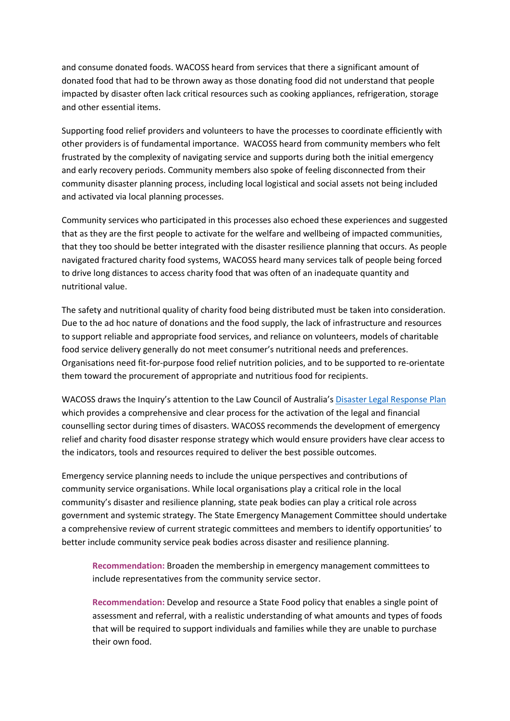and consume donated foods. WACOSS heard from services that there a significant amount of donated food that had to be thrown away as those donating food did not understand that people impacted by disaster often lack critical resources such as cooking appliances, refrigeration, storage and other essential items.

Supporting food relief providers and volunteers to have the processes to coordinate efficiently with other providers is of fundamental importance. WACOSS heard from community members who felt frustrated by the complexity of navigating service and supports during both the initial emergency and early recovery periods. Community members also spoke of feeling disconnected from their community disaster planning process, including local logistical and social assets not being included and activated via local planning processes.

Community services who participated in this processes also echoed these experiences and suggested that as they are the first people to activate for the welfare and wellbeing of impacted communities, that they too should be better integrated with the disaster resilience planning that occurs. As people navigated fractured charity food systems, WACOSS heard many services talk of people being forced to drive long distances to access charity food that was often of an inadequate quantity and nutritional value.

The safety and nutritional quality of charity food being distributed must be taken into consideration. Due to the ad hoc nature of donations and the food supply, the lack of infrastructure and resources to support reliable and appropriate food services, and reliance on volunteers, models of charitable food service delivery generally do not meet consumer's nutritional needs and preferences. Organisations need fit-for-purpose food relief nutrition policies, and to be supported to re-orientate them toward the procurement of appropriate and nutritious food for recipients.

WACOSS draws the Inquiry's attention to the Law Council of Australia's [Disaster Legal Response Plan](https://www.probonocentre.org.au/wp-content/uploads/2015/02/Emergency-Preparedness-and-Disaster-Planning-for-the-Legal-Profession.pdf) which provides a comprehensive and clear process for the activation of the legal and financial counselling sector during times of disasters. WACOSS recommends the development of emergency relief and charity food disaster response strategy which would ensure providers have clear access to the indicators, tools and resources required to deliver the best possible outcomes.

Emergency service planning needs to include the unique perspectives and contributions of community service organisations. While local organisations play a critical role in the local community's disaster and resilience planning, state peak bodies can play a critical role across government and systemic strategy. The State Emergency Management Committee should undertake a comprehensive review of current strategic committees and members to identify opportunities' to better include community service peak bodies across disaster and resilience planning.

**Recommendation:** Broaden the membership in emergency management committees to include representatives from the community service sector.

**Recommendation:** Develop and resource a State Food policy that enables a single point of assessment and referral, with a realistic understanding of what amounts and types of foods that will be required to support individuals and families while they are unable to purchase their own food.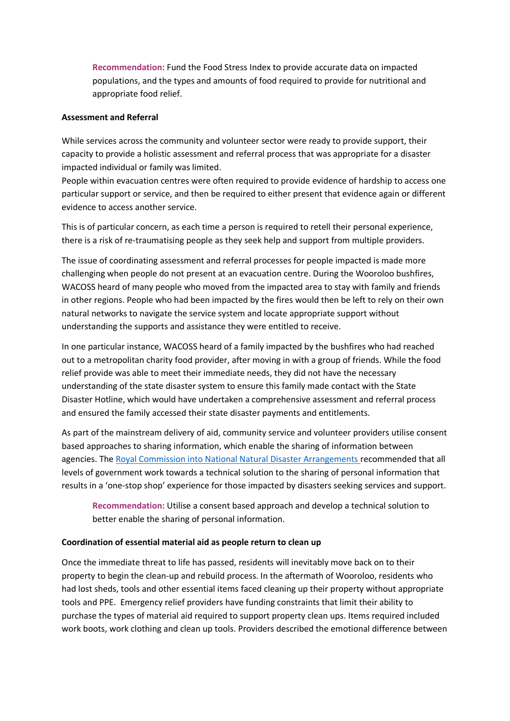**Recommendation:** Fund the Food Stress Index to provide accurate data on impacted populations, and the types and amounts of food required to provide for nutritional and appropriate food relief.

#### **Assessment and Referral**

While services across the community and volunteer sector were ready to provide support, their capacity to provide a holistic assessment and referral process that was appropriate for a disaster impacted individual or family was limited.

People within evacuation centres were often required to provide evidence of hardship to access one particular support or service, and then be required to either present that evidence again or different evidence to access another service.

This is of particular concern, as each time a person is required to retell their personal experience, there is a risk of re-traumatising people as they seek help and support from multiple providers.

The issue of coordinating assessment and referral processes for people impacted is made more challenging when people do not present at an evacuation centre. During the Wooroloo bushfires, WACOSS heard of many people who moved from the impacted area to stay with family and friends in other regions. People who had been impacted by the fires would then be left to rely on their own natural networks to navigate the service system and locate appropriate support without understanding the supports and assistance they were entitled to receive.

In one particular instance, WACOSS heard of a family impacted by the bushfires who had reached out to a metropolitan charity food provider, after moving in with a group of friends. While the food relief provide was able to meet their immediate needs, they did not have the necessary understanding of the state disaster system to ensure this family made contact with the State Disaster Hotline, which would have undertaken a comprehensive assessment and referral process and ensured the family accessed their state disaster payments and entitlements.

As part of the mainstream delivery of aid, community service and volunteer providers utilise consent based approaches to sharing information, which enable the sharing of information between agencies. The [Royal Commission into National Natural Disaster Arrangements](https://naturaldisaster.royalcommission.gov.au/) recommended that all levels of government work towards a technical solution to the sharing of personal information that results in a 'one-stop shop' experience for those impacted by disasters seeking services and support.

**Recommendation:** Utilise a consent based approach and develop a technical solution to better enable the sharing of personal information.

## **Coordination of essential material aid as people return to clean up**

Once the immediate threat to life has passed, residents will inevitably move back on to their property to begin the clean-up and rebuild process. In the aftermath of Wooroloo, residents who had lost sheds, tools and other essential items faced cleaning up their property without appropriate tools and PPE. Emergency relief providers have funding constraints that limit their ability to purchase the types of material aid required to support property clean ups. Items required included work boots, work clothing and clean up tools. Providers described the emotional difference between